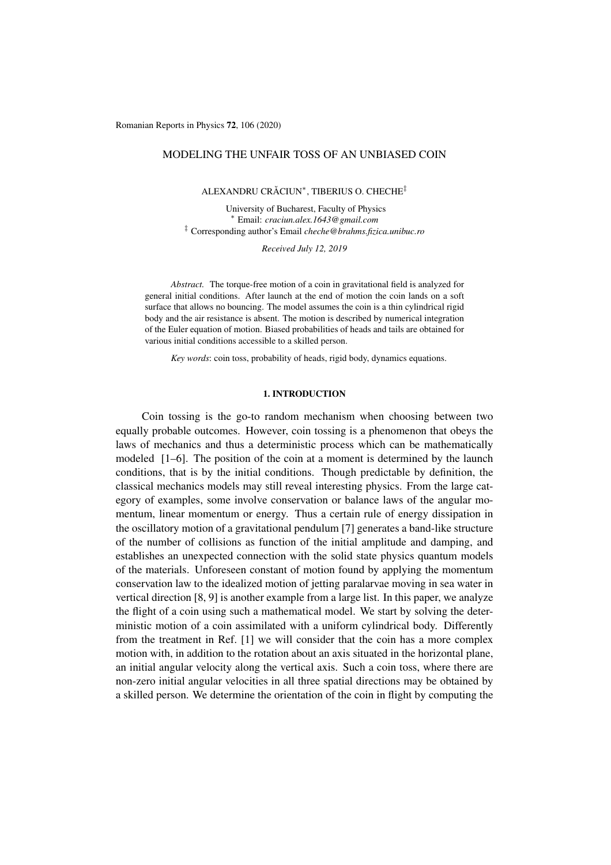Romanian Reports in Physics 72, 106 (2020)

# MODELING THE UNFAIR TOSS OF AN UNBIASED COIN

ALEXANDRU CRACIUN ˘ ⇤, TIBERIUS O. CHECHE*‡*

University of Bucharest, Faculty of Physics ⇤ Email: *craciun.alex.1643@gmail.com ‡* Corresponding author's Email *cheche@brahms.fizica.unibuc.ro*

*Received July 12, 2019*

*Abstract.* The torque-free motion of a coin in gravitational field is analyzed for general initial conditions. After launch at the end of motion the coin lands on a soft surface that allows no bouncing. The model assumes the coin is a thin cylindrical rigid body and the air resistance is absent. The motion is described by numerical integration of the Euler equation of motion. Biased probabilities of heads and tails are obtained for various initial conditions accessible to a skilled person.

*Key words*: coin toss, probability of heads, rigid body, dynamics equations.

### 1. INTRODUCTION

Coin tossing is the go-to random mechanism when choosing between two equally probable outcomes. However, coin tossing is a phenomenon that obeys the laws of mechanics and thus a deterministic process which can be mathematically modeled  $[1-6]$ . The position of the coin at a moment is determined by the launch conditions, that is by the initial conditions. Though predictable by definition, the classical mechanics models may still reveal interesting physics. From the large category of examples, some involve conservation or balance laws of the angular momentum, linear momentum or energy. Thus a certain rule of energy dissipation in the oscillatory motion of a gravitational pendulum [7] generates a band-like structure of the number of collisions as function of the initial amplitude and damping, and establishes an unexpected connection with the solid state physics quantum models of the materials. Unforeseen constant of motion found by applying the momentum conservation law to the idealized motion of jetting paralarvae moving in sea water in vertical direction [8, 9] is another example from a large list. In this paper, we analyze the flight of a coin using such a mathematical model. We start by solving the deterministic motion of a coin assimilated with a uniform cylindrical body. Differently from the treatment in Ref. [1] we will consider that the coin has a more complex motion with, in addition to the rotation about an axis situated in the horizontal plane, an initial angular velocity along the vertical axis. Such a coin toss, where there are non-zero initial angular velocities in all three spatial directions may be obtained by a skilled person. We determine the orientation of the coin in flight by computing the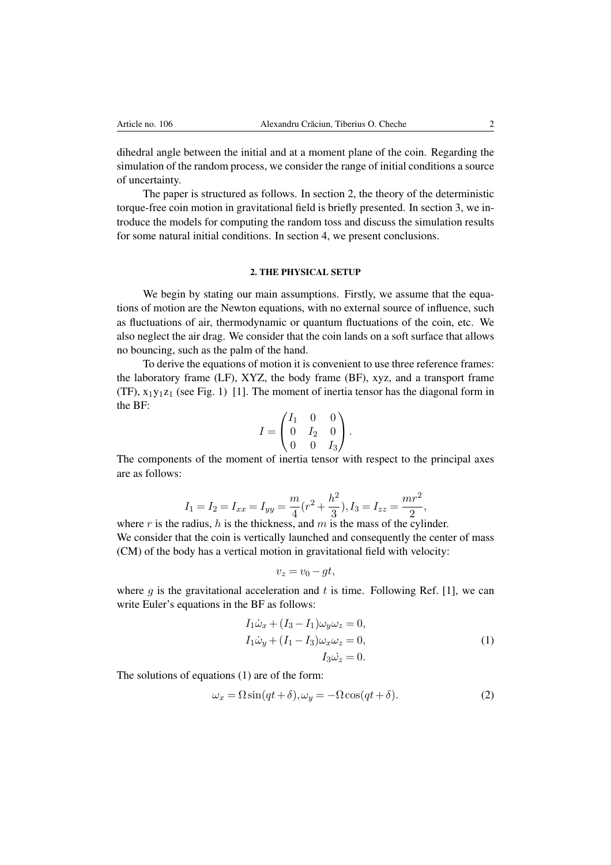dihedral angle between the initial and at a moment plane of the coin. Regarding the simulation of the random process, we consider the range of initial conditions a source of uncertainty.

The paper is structured as follows. In section 2, the theory of the deterministic torque-free coin motion in gravitational field is briefly presented. In section 3, we introduce the models for computing the random toss and discuss the simulation results for some natural initial conditions. In section 4, we present conclusions.

#### 2. THE PHYSICAL SETUP

We begin by stating our main assumptions. Firstly, we assume that the equations of motion are the Newton equations, with no external source of influence, such as fluctuations of air, thermodynamic or quantum fluctuations of the coin, etc. We also neglect the air drag. We consider that the coin lands on a soft surface that allows no bouncing, such as the palm of the hand.

To derive the equations of motion it is convenient to use three reference frames: the laboratory frame (LF), XYZ, the body frame (BF), xyz, and a transport frame (TF),  $x_1y_1z_1$  (see Fig. 1) [1]. The moment of inertia tensor has the diagonal form in the BF:

$$
I = \begin{pmatrix} I_1 & 0 & 0 \\ 0 & I_2 & 0 \\ 0 & 0 & I_3 \end{pmatrix}.
$$

The components of the moment of inertia tensor with respect to the principal axes are as follows:

$$
I_1 = I_2 = I_{xx} = I_{yy} = \frac{m}{4}(r^2 + \frac{h^2}{3}), I_3 = I_{zz} = \frac{mr^2}{2},
$$

where *r* is the radius, *h* is the thickness, and *m* is the mass of the cylinder. We consider that the coin is vertically launched and consequently the center of mass (CM) of the body has a vertical motion in gravitational field with velocity:

$$
v_z = v_0 - gt,
$$

where  $q$  is the gravitational acceleration and  $t$  is time. Following Ref. [1], we can write Euler's equations in the BF as follows:

$$
I_1\dot{\omega}_x + (I_3 - I_1)\omega_y \omega_z = 0,
$$
  
\n
$$
I_1\dot{\omega}_y + (I_1 - I_3)\omega_x \omega_z = 0,
$$
  
\n
$$
I_3\dot{\omega}_z = 0.
$$
\n(1)

The solutions of equations (1) are of the form:

$$
\omega_x = \Omega \sin(qt + \delta), \omega_y = -\Omega \cos(qt + \delta). \tag{2}
$$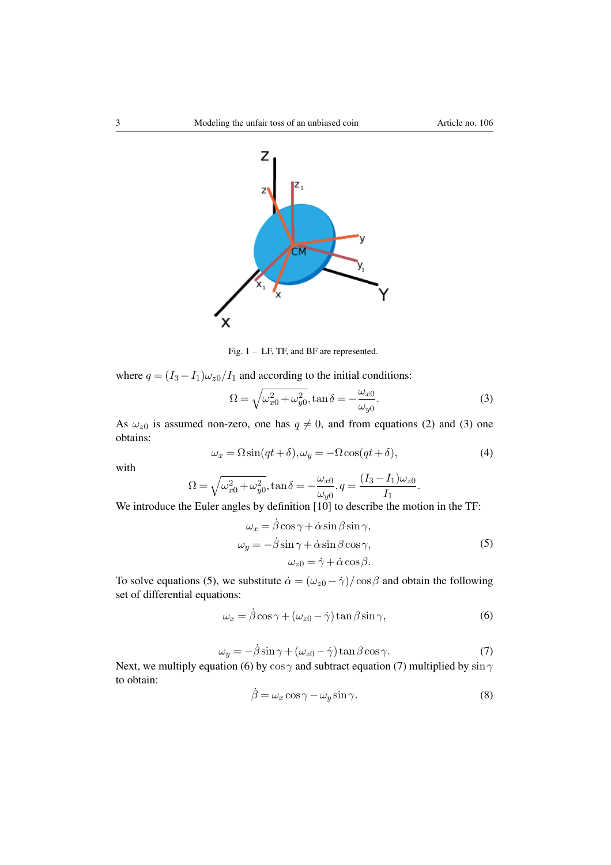

Fig. 1 – LF, TF, and BF are represented.

where  $q = (I_3 - I_1)\omega_{z0}/I_1$  and according to the initial conditions:

$$
\Omega = \sqrt{\omega_{x0}^2 + \omega_{y0}^2}, \tan \delta = -\frac{\omega_{x0}}{\omega_{y0}}.
$$
\n(3)

As  $\omega_{z0}$  is assumed non-zero, one has  $q \neq 0$ , and from equations (2) and (3) one obtains:

$$
\omega_x = \Omega \sin(qt + \delta), \omega_y = -\Omega \cos(qt + \delta), \tag{4}
$$

with

$$
\Omega = \sqrt{\omega_{x0}^2 + \omega_{y0}^2}, \tan \delta = -\frac{\omega_{x0}}{\omega_{y0}}, q = \frac{(I_3 - I_1)\omega_{z0}}{I_1}.
$$

We introduce the Euler angles by definition [10] to describe the motion in the TF:

$$
\omega_x = \dot{\beta}\cos\gamma + \dot{\alpha}\sin\beta\sin\gamma, \n\omega_y = -\dot{\beta}\sin\gamma + \dot{\alpha}\sin\beta\cos\gamma, \n\omega_{z0} = \dot{\gamma} + \dot{\alpha}\cos\beta.
$$
\n(5)

To solve equations (5), we substitute  $\dot{\alpha} = (\omega_{z0} - \dot{\gamma})/\cos \beta$  and obtain the following set of differential equations:

$$
\omega_x = \dot{\beta}\cos\gamma + (\omega_{z0} - \dot{\gamma})\tan\beta\sin\gamma,\tag{6}
$$

$$
\omega_y = -\dot{\beta}\sin\gamma + (\omega_{z0} - \dot{\gamma})\tan\beta\cos\gamma.
$$
 (7)

Next, we multiply equation (6) by  $\cos \gamma$  and subtract equation (7) multiplied by  $\sin \gamma$ to obtain:

$$
\dot{\beta} = \omega_x \cos \gamma - \omega_y \sin \gamma. \tag{8}
$$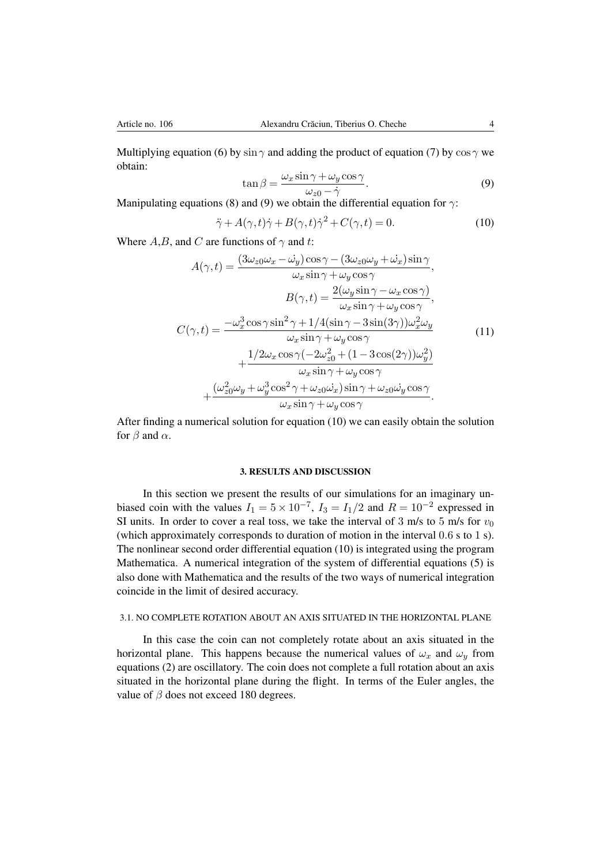Multiplying equation (6) by  $\sin \gamma$  and adding the product of equation (7) by  $\cos \gamma$  we obtain:

$$
\tan \beta = \frac{\omega_x \sin \gamma + \omega_y \cos \gamma}{\omega_{z0} - \dot{\gamma}}.
$$
\n(9)

Manipulating equations (8) and (9) we obtain the differential equation for  $\gamma$ :

$$
\ddot{\gamma} + A(\gamma, t)\dot{\gamma} + B(\gamma, t)\dot{\gamma}^2 + C(\gamma, t) = 0.
$$
 (10)

Where  $A, B$ , and  $C$  are functions of  $\gamma$  and  $t$ :

$$
A(\gamma, t) = \frac{(3\omega_{z0}\omega_x - \dot{\omega}_y)\cos\gamma - (3\omega_{z0}\omega_y + \dot{\omega}_x)\sin\gamma}{\omega_x \sin\gamma + \omega_y \cos\gamma},
$$
  
\n
$$
B(\gamma, t) = \frac{2(\omega_y \sin\gamma - \omega_x \cos\gamma)}{\omega_x \sin\gamma + \omega_y \cos\gamma},
$$
  
\n
$$
C(\gamma, t) = \frac{-\omega_x^3 \cos\gamma \sin^2\gamma + 1/4(\sin\gamma - 3\sin(3\gamma))\omega_x^2 \omega_y}{\omega_x \sin\gamma + \omega_y \cos\gamma}
$$
  
\n
$$
+ \frac{1/2\omega_x \cos\gamma(-2\omega_{z0}^2 + (1 - 3\cos(2\gamma))\omega_y^2)}{\omega_x \sin\gamma + \omega_y \cos\gamma}
$$
  
\n
$$
+ \frac{(\omega_{z0}^2 \omega_y + \omega_y^3 \cos^2\gamma + \omega_{z0}\dot{\omega}_x)\sin\gamma + \omega_{z0}\dot{\omega}_y \cos\gamma}{\omega_x \sin\gamma + \omega_y \cos\gamma}.
$$
 (11)

After finding a numerical solution for equation (10) we can easily obtain the solution for  $\beta$  and  $\alpha$ .

## 3. RESULTS AND DISCUSSION

In this section we present the results of our simulations for an imaginary unbiased coin with the values  $I_1 = 5 \times 10^{-7}$ ,  $I_3 = I_1/2$  and  $R = 10^{-2}$  expressed in SI units. In order to cover a real toss, we take the interval of 3 m/s to 5 m/s for  $v_0$ (which approximately corresponds to duration of motion in the interval 0*.*6 s to 1 s). The nonlinear second order differential equation (10) is integrated using the program Mathematica. A numerical integration of the system of differential equations (5) is also done with Mathematica and the results of the two ways of numerical integration coincide in the limit of desired accuracy.

## 3.1. NO COMPLETE ROTATION ABOUT AN AXIS SITUATED IN THE HORIZONTAL PLANE

In this case the coin can not completely rotate about an axis situated in the horizontal plane. This happens because the numerical values of  $\omega_x$  and  $\omega_y$  from equations (2) are oscillatory. The coin does not complete a full rotation about an axis situated in the horizontal plane during the flight. In terms of the Euler angles, the value of  $\beta$  does not exceed 180 degrees.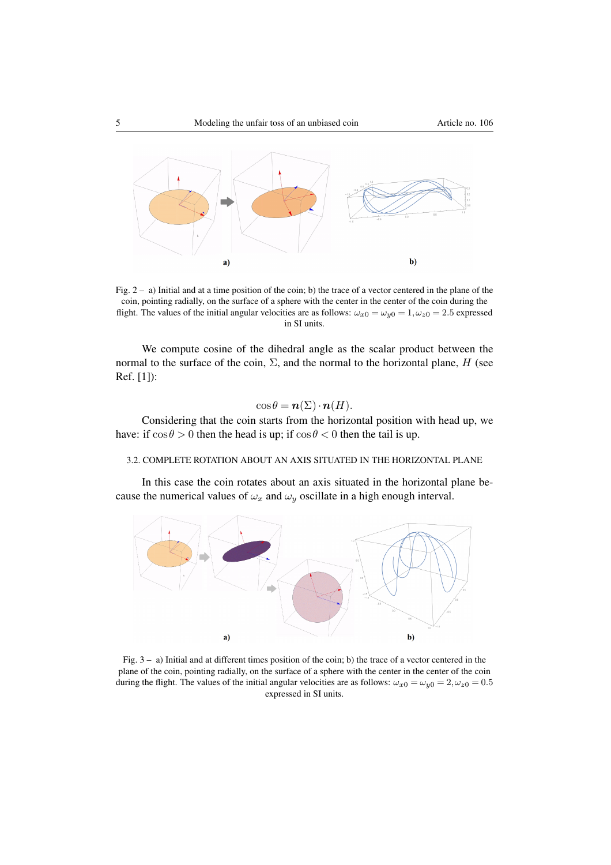

Fig. 2 – a) Initial and at a time position of the coin; b) the trace of a vector centered in the plane of the coin, pointing radially, on the surface of a sphere with the center in the center of the coin during the flight. The values of the initial angular velocities are as follows:  $\omega_{x0} = \omega_{y0} = 1, \omega_{z0} = 2.5$  expressed in SI units.

We compute cosine of the dihedral angle as the scalar product between the normal to the surface of the coin,  $\Sigma$ , and the normal to the horizontal plane, *H* (see Ref. [1]):

# $\cos \theta = n(\Sigma) \cdot n(H)$ .

Considering that the coin starts from the horizontal position with head up, we have: if  $\cos \theta > 0$  then the head is up; if  $\cos \theta < 0$  then the tail is up.

#### 3.2. COMPLETE ROTATION ABOUT AN AXIS SITUATED IN THE HORIZONTAL PLANE

In this case the coin rotates about an axis situated in the horizontal plane because the numerical values of  $\omega_x$  and  $\omega_y$  oscillate in a high enough interval.



Fig. 3 – a) Initial and at different times position of the coin; b) the trace of a vector centered in the plane of the coin, pointing radially, on the surface of a sphere with the center in the center of the coin during the flight. The values of the initial angular velocities are as follows:  $\omega_{x0} = \omega_{y0} = 2, \omega_{z0} = 0.5$ expressed in SI units.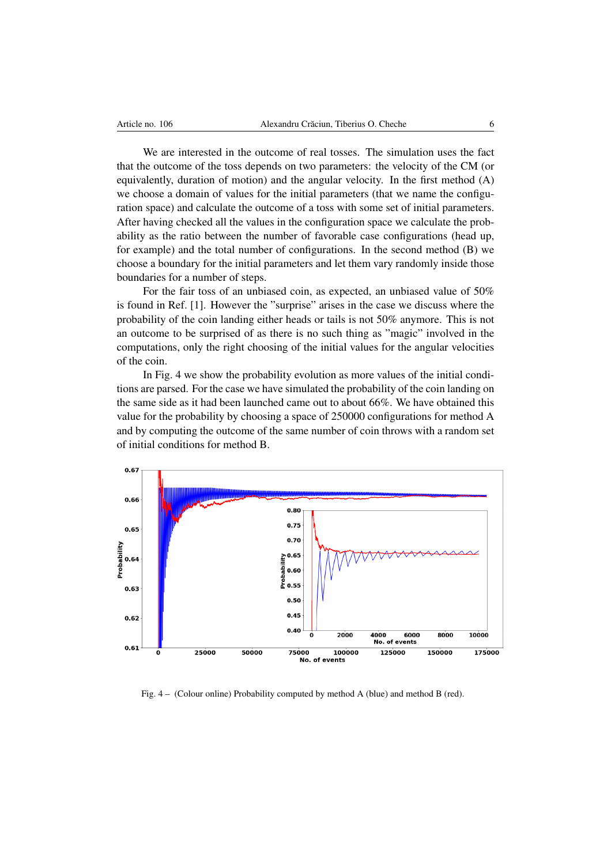We are interested in the outcome of real tosses. The simulation uses the fact that the outcome of the toss depends on two parameters: the velocity of the CM (or equivalently, duration of motion) and the angular velocity. In the first method (A) we choose a domain of values for the initial parameters (that we name the configuration space) and calculate the outcome of a toss with some set of initial parameters. After having checked all the values in the configuration space we calculate the probability as the ratio between the number of favorable case configurations (head up, for example) and the total number of configurations. In the second method (B) we choose a boundary for the initial parameters and let them vary randomly inside those boundaries for a number of steps.

For the fair toss of an unbiased coin, as expected, an unbiased value of 50% is found in Ref. [1]. However the "surprise" arises in the case we discuss where the probability of the coin landing either heads or tails is not 50% anymore. This is not an outcome to be surprised of as there is no such thing as "magic" involved in the computations, only the right choosing of the initial values for the angular velocities of the coin.

In Fig. 4 we show the probability evolution as more values of the initial conditions are parsed. For the case we have simulated the probability of the coin landing on the same side as it had been launched came out to about 66%. We have obtained this value for the probability by choosing a space of 250000 configurations for method A and by computing the outcome of the same number of coin throws with a random set of initial conditions for method B.



Fig. 4 – (Colour online) Probability computed by method A (blue) and method B (red).